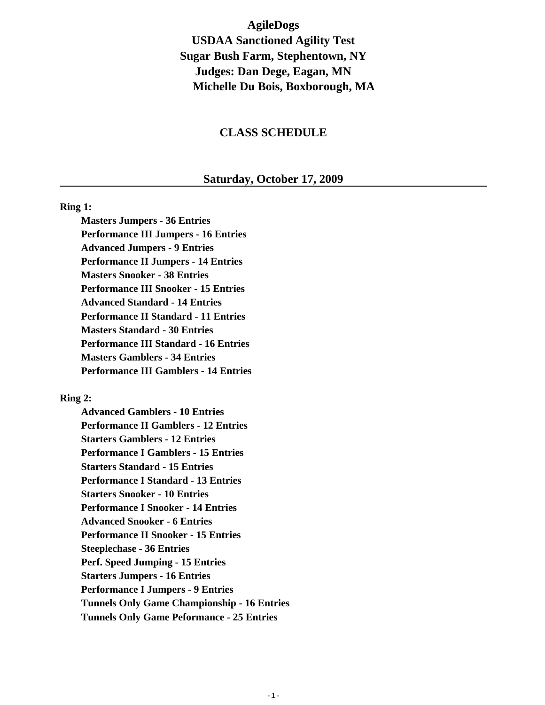**AgileDogs USDAA Sanctioned Agility Test Sugar Bush Farm, Stephentown, NY Judges: Dan Dege, Eagan, MN Michelle Du Bois, Boxborough, MA**

### **CLASS SCHEDULE**

#### **Saturday, October 17, 2009**

#### **Ring 1:**

**Masters Jumpers - 36 Entries Performance III Jumpers - 16 Entries Advanced Jumpers - 9 Entries Performance II Jumpers - 14 Entries Masters Snooker - 38 Entries Performance III Snooker - 15 Entries Advanced Standard - 14 Entries Performance II Standard - 11 Entries Masters Standard - 30 Entries Performance III Standard - 16 Entries Masters Gamblers - 34 Entries Performance III Gamblers - 14 Entries**

### **Ring 2:**

**Advanced Gamblers - 10 Entries Performance II Gamblers - 12 Entries Starters Gamblers - 12 Entries Performance I Gamblers - 15 Entries Starters Standard - 15 Entries Performance I Standard - 13 Entries Starters Snooker - 10 Entries Performance I Snooker - 14 Entries Advanced Snooker - 6 Entries Performance II Snooker - 15 Entries Steeplechase - 36 Entries Perf. Speed Jumping - 15 Entries Starters Jumpers - 16 Entries Performance I Jumpers - 9 Entries Tunnels Only Game Championship - 16 Entries Tunnels Only Game Peformance - 25 Entries**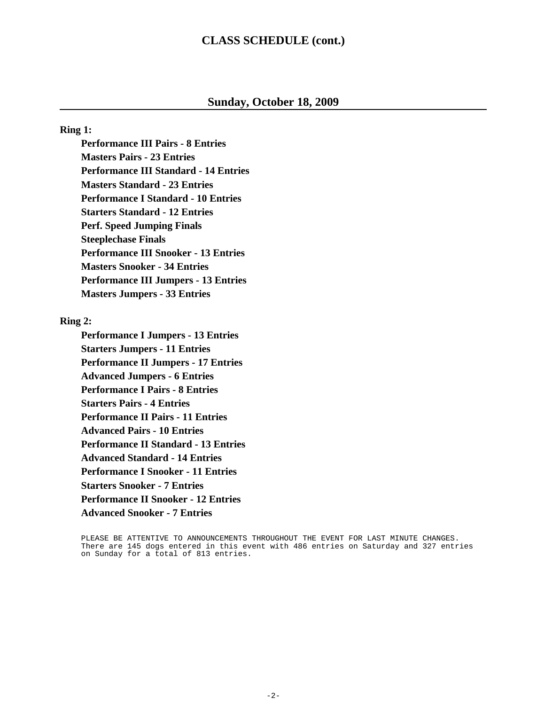## **CLASS SCHEDULE (cont.)**

### **Sunday, October 18, 2009**

#### **Ring 1:**

**Performance III Pairs - 8 Entries Masters Pairs - 23 Entries Performance III Standard - 14 Entries Masters Standard - 23 Entries Performance I Standard - 10 Entries Starters Standard - 12 Entries Perf. Speed Jumping Finals Steeplechase Finals Performance III Snooker - 13 Entries Masters Snooker - 34 Entries Performance III Jumpers - 13 Entries Masters Jumpers - 33 Entries**

### **Ring 2:**

**Performance I Jumpers - 13 Entries Starters Jumpers - 11 Entries Performance II Jumpers - 17 Entries Advanced Jumpers - 6 Entries Performance I Pairs - 8 Entries Starters Pairs - 4 Entries Performance II Pairs - 11 Entries Advanced Pairs - 10 Entries Performance II Standard - 13 Entries Advanced Standard - 14 Entries Performance I Snooker - 11 Entries Starters Snooker - 7 Entries Performance II Snooker - 12 Entries Advanced Snooker - 7 Entries**

PLEASE BE ATTENTIVE TO ANNOUNCEMENTS THROUGHOUT THE EVENT FOR LAST MINUTE CHANGES. There are 145 dogs entered in this event with 486 entries on Saturday and 327 entries on Sunday for a total of 813 entries.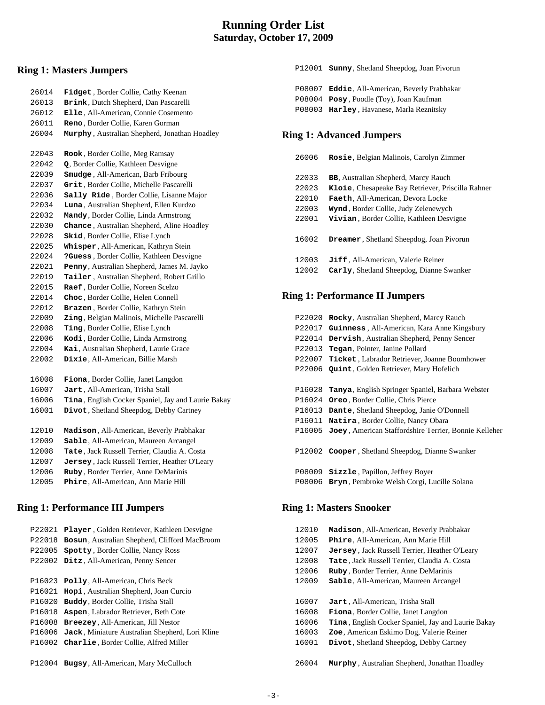## **Running Order List Saturday, October 17, 2009**

## **Ring 1: Masters Jumpers**

| 26014 | Fidget, Border Collie, Cathy Keenan                |
|-------|----------------------------------------------------|
| 26013 | Brink, Dutch Shepherd, Dan Pascarelli              |
| 26012 | Elle, All-American, Connie Cosemento               |
| 26011 | Reno, Border Collie, Karen Gorman                  |
| 26004 | Murphy, Australian Shepherd, Jonathan Hoadley      |
|       |                                                    |
| 22043 | Rook, Border Collie, Meg Ramsay                    |
| 22042 | Q, Border Collie, Kathleen Desvigne                |
| 22039 | Smudge, All-American, Barb Fribourg                |
| 22037 | Grit, Border Collie, Michelle Pascarelli           |
| 22036 | Sally Ride, Border Collie, Lisanne Major           |
| 22034 | Luna, Australian Shepherd, Ellen Kurdzo            |
| 22032 | Mandy, Border Collie, Linda Armstrong              |
| 22030 | Chance, Australian Shepherd, Aline Hoadley         |
| 22028 | Skid, Border Collie, Elise Lynch                   |
| 22025 | Whisper, All-American, Kathryn Stein               |
| 22024 | ?Guess, Border Collie, Kathleen Desvigne           |
| 22021 | Penny, Australian Shepherd, James M. Jayko         |
| 22019 | Tailer, Australian Shepherd, Robert Grillo         |
| 22015 | Raef, Border Collie, Noreen Scelzo                 |
| 22014 | Choc, Border Collie, Helen Connell                 |
| 22012 | Brazen, Border Collie, Kathryn Stein               |
| 22009 | Zing, Belgian Malinois, Michelle Pascarelli        |
| 22008 | Ting, Border Collie, Elise Lynch                   |
| 22006 | Kodi, Border Collie, Linda Armstrong               |
| 22004 | Kai, Australian Shepherd, Laurie Grace             |
| 22002 | Dixie, All-American, Billie Marsh                  |
|       |                                                    |
| 16008 | Fiona, Border Collie, Janet Langdon                |
| 16007 | Jart, All-American, Trisha Stall                   |
| 16006 | Tina, English Cocker Spaniel, Jay and Laurie Bakay |
| 16001 | Divot, Shetland Sheepdog, Debby Cartney            |
|       |                                                    |
| 12010 | Madison, All-American, Beverly Prabhakar           |
| 12009 | Sable, All-American, Maureen Arcangel              |
| 12008 | Tate, Jack Russell Terrier, Claudia A. Costa       |
| 12007 | Jersey, Jack Russell Terrier, Heather O'Leary      |
| 12006 | Ruby, Border Terrier, Anne DeMarinis               |
| 12005 | Phire, All-American, Ann Marie Hill                |
|       |                                                    |

## **Ring 1: Performance III Jumpers**

| P22021 | Player, Golden Retriever, Kathleen Desvigne     |
|--------|-------------------------------------------------|
| P22018 | Bosun, Australian Shepherd, Clifford MacBroom   |
| P22005 | Spotty, Border Collie, Nancy Ross               |
| P22002 | Ditz, All-American, Penny Sencer                |
|        |                                                 |
| P16023 | <b>Polly, All-American, Chris Beck</b>          |
| P16021 | <b>Hopi</b> , Australian Shepherd, Joan Curcio  |
| P16020 | <b>Buddy, Border Collie, Trisha Stall</b>       |
| P16018 | Aspen, Labrador Retriever, Beth Cote            |
| P16008 | <b>Breezey, All-American, Jill Nestor</b>       |
| P16006 | Jack, Miniature Australian Shepherd, Lori Kline |
| P16002 | <b>Charlie, Border Collie, Alfred Miller</b>    |
|        |                                                 |
| P12004 | Bugsy, All-American, Mary McCulloch             |

 P12001 **Sunny**, Shetland Sheepdog, Joan Pivorun P08007 **Eddie**, All-American, Beverly Prabhakar P08004 **Posy** , Poodle (Toy), Joan Kaufman

P08003 **Harley** , Havanese, Marla Reznitsky

#### **Ring 1: Advanced Jumpers**

| 26006 | Rosie, Belgian Malinois, Carolyn Zimmer           |
|-------|---------------------------------------------------|
| 22033 | <b>BB, Australian Shepherd, Marcy Rauch</b>       |
| 22023 | Kloie, Chesapeake Bay Retriever, Priscilla Rahner |
| 22010 | Faeth, All-American, Devora Locke                 |
| 22003 | Wynd, Border Collie, Judy Zelenewych              |
| 22001 | Vivian, Border Collie, Kathleen Desvigne          |
| 16002 | <b>Dreamer, Shetland Sheepdog, Joan Pivorun</b>   |
| 12003 | Jiff, All-American, Valerie Reiner                |
| 12002 | Carly, Shetland Sheepdog, Dianne Swanker          |

## **Ring 1: Performance II Jumpers**

| P22020 | Rocky, Australian Shepherd, Marcy Rauch               |
|--------|-------------------------------------------------------|
| P22017 | Guinness, All-American, Kara Anne Kingsbury           |
| P22014 | Dervish, Australian Shepherd, Penny Sencer            |
| P22013 | Tegan, Pointer, Janine Pollard                        |
| P22007 | Ticket, Labrador Retriever, Joanne Boomhower          |
| P22006 | <b>Quint, Golden Retriever, Mary Hofelich</b>         |
|        |                                                       |
| P16028 | Tanya, English Springer Spaniel, Barbara Webster      |
| P16024 | <b>Oreo</b> , Border Collie, Chris Pierce             |
| P16013 | Dante, Shetland Sheepdog, Janie O'Donnell             |
| P16011 | Natira, Border Collie, Nancy Obara                    |
| P16005 | Joey, American Staffordshire Terrier, Bonnie Kelleher |
|        |                                                       |
|        | P12002 Cooper, Shetland Sheepdog, Dianne Swanker      |
|        |                                                       |
| P08009 | <b>Sizzle</b> , Papillon, Jeffrey Boyer               |
| P08006 | Bryn, Pembroke Welsh Corgi, Lucille Solana            |

### **Ring 1: Masters Snooker**

| 12010 | Madison, All-American, Beverly Prabhakar                   |
|-------|------------------------------------------------------------|
| 12005 | Phire, All-American, Ann Marie Hill                        |
| 12007 | <b>Jersey</b> , Jack Russell Terrier, Heather O'Leary      |
| 12008 | Tate, Jack Russell Terrier, Claudia A. Costa               |
| 12006 | Ruby, Border Terrier, Anne DeMarinis                       |
| 12009 | Sable, All-American, Maureen Arcangel                      |
|       |                                                            |
| 16007 | <b>Jart</b> , All-American, Trisha Stall                   |
| 16008 | Fiona, Border Collie, Janet Langdon                        |
| 16006 | <b>Tina</b> , English Cocker Spaniel, Jay and Laurie Bakay |
| 16003 | Zoe, American Eskimo Dog, Valerie Reiner                   |
| 16001 | Divot, Shetland Sheepdog, Debby Cartney                    |
|       |                                                            |
| 26004 | <b>Murphy</b> , Australian Shepherd, Jonathan Hoadley      |
|       |                                                            |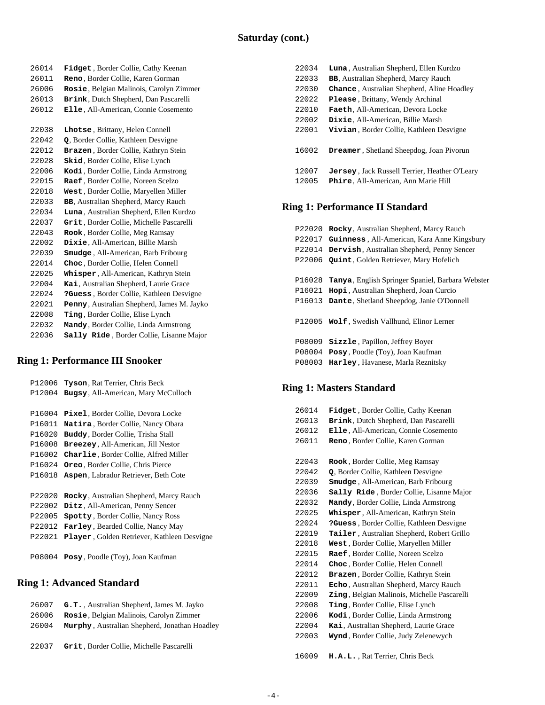| 26014 | <b>Fidget</b> , Border Collie, Cathy Keenan  |
|-------|----------------------------------------------|
| 26011 | Reno, Border Collie, Karen Gorman            |
| 26006 | Rosie, Belgian Malinois, Carolyn Zimmer      |
| 26013 | Brink, Dutch Shepherd, Dan Pascarelli        |
| 26012 | Elle, All-American, Connie Cosemento         |
|       |                                              |
| 22038 | Lhotse, Brittany, Helen Connell              |
| 22042 | Q, Border Collie, Kathleen Desvigne          |
| 22012 | Brazen, Border Collie, Kathryn Stein         |
| 22028 | <b>Skid, Border Collie, Elise Lynch</b>      |
| 22006 | Kodi, Border Collie, Linda Armstrong         |
| 22015 | Raef, Border Collie, Noreen Scelzo           |
| 22018 | West, Border Collie, Maryellen Miller        |
| 22033 | <b>BB</b> , Australian Shepherd, Marcy Rauch |
| 22034 | Luna, Australian Shepherd, Ellen Kurdzo      |
| 22037 | Grit, Border Collie, Michelle Pascarelli     |
| 22043 | Rook, Border Collie, Meg Ramsay              |
| 22002 | Dixie, All-American, Billie Marsh            |
| 22039 | <b>Smudge</b> , All-American, Barb Fribourg  |
| 22014 | Choc, Border Collie, Helen Connell           |
| 22025 | Whisper, All-American, Kathryn Stein         |
| 22004 | Kai, Australian Shepherd, Laurie Grace       |
| 22024 | ?Guess, Border Collie, Kathleen Desvigne     |
| 22021 | Penny, Australian Shepherd, James M. Jayko   |
| 22008 | Ting, Border Collie, Elise Lynch             |
| 22032 | Mandy, Border Collie, Linda Armstrong        |
| 22036 | Sally Ride, Border Collie, Lisanne Major     |
|       |                                              |

## **Ring 1: Performance III Snooker**

| P12006 | <b>Tyson, Rat Terrier, Chris Beck</b>        |
|--------|----------------------------------------------|
| P12004 | <b>Bugsy, All-American, Mary McCulloch</b>   |
|        |                                              |
| P16004 | Pixel, Border Collie, Devora Locke           |
| P16011 | <b>Natira</b> , Border Collie, Nancy Obara   |
| P16020 | <b>Buddy</b> , Border Collie, Trisha Stall   |
| P16008 | <b>Breezey, All-American, Jill Nestor</b>    |
| P16002 | <b>Charlie, Border Collie, Alfred Miller</b> |
| P16024 | Oreo, Border Collie, Chris Pierce            |
| P16018 | Aspen, Labrador Retriever, Beth Cote         |
|        |                                              |
| P22020 | Rocky, Australian Shepherd, Marcy Rauch      |
| P22002 | Ditz, All-American, Penny Sencer             |
| P22005 | <b>Spotty, Border Collie, Nancy Ross</b>     |
| P22012 | <b>Farley, Bearded Collie, Nancy May</b>     |
| P22021 | Player, Golden Retriever, Kathleen Desvigne  |
|        |                                              |
| P08004 | <b>Posy</b> , Poodle (Toy), Joan Kaufman     |
|        |                                              |

## **Ring 1: Advanced Standard**

| 26007 | G.T., Australian Shepherd, James M. Jayko     |
|-------|-----------------------------------------------|
| 26006 | Rosie, Belgian Malinois, Carolyn Zimmer       |
| 26004 | Murphy, Australian Shepherd, Jonathan Hoadley |
|       |                                               |
| 22037 | Grit. Border Collie. Michelle Pascarelli      |
|       |                                               |

| 22034          | <b>Luna</b> , Australian Shepherd, Ellen Kurdzo                                              |
|----------------|----------------------------------------------------------------------------------------------|
| 22033          | <b>BB,</b> Australian Shepherd, Marcy Rauch                                                  |
| 22030          | <b>Chance</b> , Australian Shepherd, Aline Hoadley                                           |
| 22022          | <b>Please, Brittany, Wendy Archinal</b>                                                      |
| 22010          | Faeth, All-American, Devora Locke                                                            |
| 22002          | Dixie. All-American. Billie Marsh                                                            |
| 22001          | Vivian, Border Collie, Kathleen Desvigne                                                     |
| 16002          | <b>Dreamer, Shetland Sheepdog, Joan Pivorun</b>                                              |
| 12007<br>12005 | <b>Jersey</b> , Jack Russell Terrier, Heather O'Leary<br>Phire, All-American, Ann Marie Hill |

# **Ring 1: Performance II Standard**

| P22020 | Rocky, Australian Shepherd, Marcy Rauch                  |
|--------|----------------------------------------------------------|
| P22017 | Guinness, All-American, Kara Anne Kingsbury              |
| P22014 | Dervish, Australian Shepherd, Penny Sencer               |
| P22006 | <b>Quint, Golden Retriever, Mary Hofelich</b>            |
|        |                                                          |
| P16028 | <b>Tanya</b> , English Springer Spaniel, Barbara Webster |
| P16021 | <b>Hopi</b> , Australian Shepherd, Joan Curcio           |
| P16013 | Dante, Shetland Sheepdog, Janie O'Donnell                |
|        |                                                          |
|        | P12005 Wolf, Swedish Vallhund, Elinor Lerner             |
|        |                                                          |
| P08009 | Sizzle, Papillon, Jeffrey Boyer                          |
| P08004 | <b>Posy</b> , Poodle (Toy), Joan Kaufman                 |
| P08003 | Harley, Havanese, Marla Reznitsky                        |
|        |                                                          |

# **Ring 1: Masters Standard**

| 26014 | <b>Fidget</b> , Border Collie, Cathy Keenan         |
|-------|-----------------------------------------------------|
| 26013 | Brink, Dutch Shepherd, Dan Pascarelli               |
| 26012 | Elle, All-American, Connie Cosemento                |
| 26011 | Reno, Border Collie, Karen Gorman                   |
|       |                                                     |
| 22043 | Rook, Border Collie, Meg Ramsay                     |
| 22042 | Q, Border Collie, Kathleen Desvigne                 |
| 22039 | Smudge, All-American, Barb Fribourg                 |
| 22036 | Sally Ride, Border Collie, Lisanne Major            |
| 22032 | Mandy, Border Collie, Linda Armstrong               |
| 22025 | Whisper, All-American, Kathryn Stein                |
| 22024 | ?Guess, Border Collie, Kathleen Desvigne            |
| 22019 | <b>Tailer</b> , Australian Shepherd, Robert Grillo  |
| 22018 | West, Border Collie, Maryellen Miller               |
| 22015 | Raef, Border Collie, Noreen Scelzo                  |
| 22014 | Choc, Border Collie, Helen Connell                  |
| 22012 | Brazen, Border Collie, Kathryn Stein                |
| 22011 | Echo, Australian Shepherd, Marcy Rauch              |
| 22009 | <b>Zing</b> , Belgian Malinois, Michelle Pascarelli |
| 22008 | <b>Ting, Border Collie, Elise Lynch</b>             |
| 22006 | Kodi, Border Collie, Linda Armstrong                |
| 22004 | Kai, Australian Shepherd, Laurie Grace              |
| 22003 | Wynd, Border Collie, Judy Zelenewych                |
|       |                                                     |
| 16009 | H.A.L., Rat Terrier, Chris Beck                     |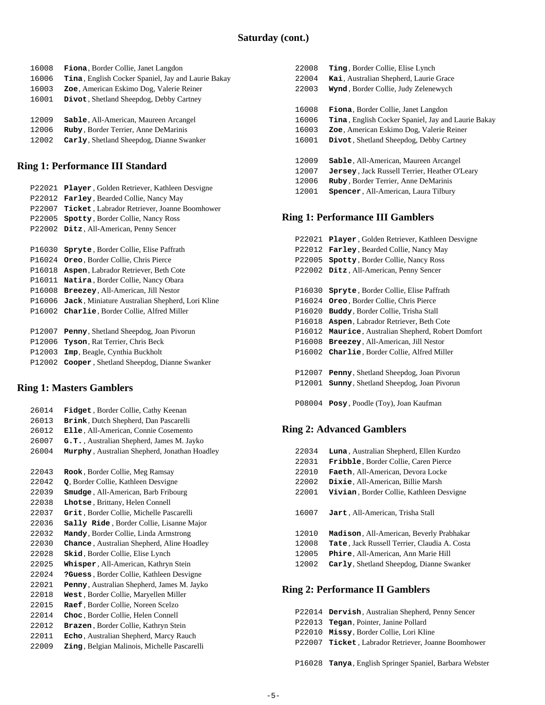| 16008 | <b>Fiona</b> , Border Collie, Janet Langdon                |
|-------|------------------------------------------------------------|
| 16006 | <b>Tina</b> , English Cocker Spaniel, Jay and Laurie Bakay |
| 16003 | Zoe, American Eskimo Dog, Valerie Reiner                   |
| 16001 | Divot, Shetland Sheepdog, Debby Cartney                    |
|       |                                                            |
| 12009 | Sable, All-American, Maureen Arcangel                      |
| 12006 | Ruby, Border Terrier, Anne DeMarinis                       |
| 12002 | Carly, Shetland Sheepdog, Dianne Swanker                   |

#### **Ring 1: Performance III Standard**

| P22021 | <b>Player</b> , Golden Retriever, Kathleen Desvigne  |
|--------|------------------------------------------------------|
| P22012 | <b>Farley, Bearded Collie, Nancy May</b>             |
| P22007 | <b>Ticket</b> , Labrador Retriever, Joanne Boomhower |
| P22005 | Spotty, Border Collie, Nancy Ross                    |
| P22002 | Ditz, All-American, Penny Sencer                     |
|        |                                                      |
| P16030 | <b>Spryte, Border Collie, Elise Paffrath</b>         |
| P16024 | <b>Oreo</b> , Border Collie, Chris Pierce            |
| P16018 | <b>Aspen</b> , Labrador Retriever, Beth Cote         |
| P16011 | <b>Natira</b> , Border Collie, Nancy Obara           |
| P16008 | Breezey, All-American, Jill Nestor                   |
| P16006 | Jack, Miniature Australian Shepherd, Lori Kline      |
| P16002 | Charlie, Border Collie, Alfred Miller                |
|        |                                                      |
| P12007 | Penny, Shetland Sheepdog, Joan Pivorun               |
| P12006 | <b>Tyson</b> , Rat Terrier, Chris Beck               |
| P12003 | <b>Imp</b> , Beagle, Cynthia Buckholt                |
| P12002 | Cooper, Shetland Sheepdog, Dianne Swanker            |

## **Ring 1: Masters Gamblers**

| 26014 | Fidget, Border Collie, Cathy Keenan                |
|-------|----------------------------------------------------|
| 26013 | Brink, Dutch Shepherd, Dan Pascarelli              |
| 26012 | Elle, All-American, Connie Cosemento               |
| 26007 | G.T., Australian Shepherd, James M. Jayko          |
| 26004 | Murphy, Australian Shepherd, Jonathan Hoadley      |
|       |                                                    |
| 22043 | Rook, Border Collie, Meg Ramsay                    |
| 22042 | Q, Border Collie, Kathleen Desvigne                |
| 22039 | <b>Smudge</b> , All-American, Barb Fribourg        |
| 22038 | Lhotse, Brittany, Helen Connell                    |
| 22037 | Grit, Border Collie, Michelle Pascarelli           |
| 22036 | Sally Ride, Border Collie, Lisanne Major           |
| 22032 | Mandy, Border Collie, Linda Armstrong              |
| 22030 | Chance, Australian Shepherd, Aline Hoadley         |
| 22028 | <b>Skid</b> , Border Collie, Elise Lynch           |
| 22025 | Whisper, All-American, Kathryn Stein               |
| 22024 | ?Guess, Border Collie, Kathleen Desvigne           |
| 22021 | Penny, Australian Shepherd, James M. Jayko         |
| 22018 | West, Border Collie, Maryellen Miller              |
| 22015 | Raef, Border Collie, Noreen Scelzo                 |
| 22014 | Choc, Border Collie, Helen Connell                 |
| 22012 | Brazen, Border Collie, Kathryn Stein               |
| 22011 | Echo, Australian Shepherd, Marcy Rauch             |
| 22009 | <b>Zing, Belgian Malinois, Michelle Pascarelli</b> |
|       |                                                    |

| 22008 | <b>Ting, Border Collie, Elise Lynch</b>                    |
|-------|------------------------------------------------------------|
| 22004 | Kai, Australian Shepherd, Laurie Grace                     |
| 22003 | Wynd, Border Collie, Judy Zelenewych                       |
|       |                                                            |
| 16008 | <b>Fiona</b> , Border Collie, Janet Langdon                |
| 16006 | <b>Tina</b> , English Cocker Spaniel, Jay and Laurie Bakay |
| 16003 | Zoe, American Eskimo Dog, Valerie Reiner                   |
| 16001 | Divot, Shetland Sheepdog, Debby Cartney                    |
|       |                                                            |
| 12009 | <b>Sable</b> , All-American, Maureen Arcangel              |
| 12007 | <b>Jersey</b> , Jack Russell Terrier, Heather O'Leary      |
| 12006 | Ruby, Border Terrier, Anne DeMarinis                       |
| 12001 | <b>Spencer</b> , All-American, Laura Tilbury               |
|       |                                                            |
|       |                                                            |

# **Ring 1: Performance III Gamblers**

| P22021 | Player, Golden Retriever, Kathleen Desvigne   |
|--------|-----------------------------------------------|
| P22012 | <b>Farley, Bearded Collie, Nancy May</b>      |
| P22005 | Spotty, Border Collie, Nancy Ross             |
| P22002 | Ditz, All-American, Penny Sencer              |
|        |                                               |
| P16030 | <b>Spryte, Border Collie, Elise Paffrath</b>  |
| P16024 | <b>Oreo</b> , Border Collie, Chris Pierce     |
| P16020 | Buddy, Border Collie, Trisha Stall            |
| P16018 | Aspen, Labrador Retriever, Beth Cote          |
| P16012 | Maurice, Australian Shepherd, Robert Domfort  |
| P16008 | Breezey, All-American, Jill Nestor            |
| P16002 | Charlie, Border Collie, Alfred Miller         |
|        |                                               |
| P12007 | Penny, Shetland Sheepdog, Joan Pivorun        |
| P12001 | <b>Sunny, Shetland Sheepdog, Joan Pivorun</b> |
|        |                                               |

P08004 **Posy** , Poodle (Toy), Joan Kaufman

## **Ring 2: Advanced Gamblers**

| 22034 | Luna, Australian Shepherd, Ellen Kurdzo          |
|-------|--------------------------------------------------|
| 22031 | <b>Fribble, Border Collie, Caren Pierce</b>      |
| 22010 | Faeth, All-American, Devora Locke                |
| 22002 | Dixie. All-American. Billie Marsh                |
| 22001 | Vivian, Border Collie, Kathleen Desvigne         |
| 16007 | Jart, All-American, Trisha Stall                 |
| 12010 | <b>Madison</b> , All-American, Beverly Prabhakar |
| 12008 | Tate, Jack Russell Terrier, Claudia A. Costa     |
| 12005 | <b>Phire, All-American, Ann Marie Hill</b>       |
| 12002 | Carly, Shetland Sheepdog, Dianne Swanker         |
|       |                                                  |

## **Ring 2: Performance II Gamblers**

|  | P22014 Dervish, Australian Shepherd, Penny Sencer       |
|--|---------------------------------------------------------|
|  | P22013 <b>Tegan</b> , Pointer, Janine Pollard           |
|  | P22010 Missy, Border Collie, Lori Kline                 |
|  | P22007 Ticket, Labrador Retriever, Joanne Boomhower     |
|  |                                                         |
|  | P16028 Tanya, English Springer Spaniel, Barbara Webster |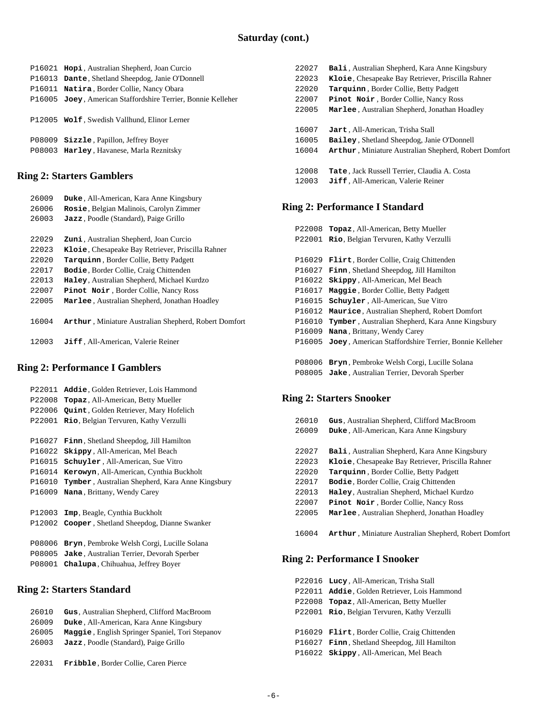|  | P16021 Hopi, Australian Shepherd, Joan Curcio                |
|--|--------------------------------------------------------------|
|  | P16013 Dante, Shetland Sheepdog, Janie O'Donnell             |
|  | P16011 Natira, Border Collie, Nancy Obara                    |
|  | P16005 Joey, American Staffordshire Terrier, Bonnie Kelleher |
|  | P12005 Wolf, Swedish Vallhund, Elinor Lerner                 |
|  | P08009 <b>Sizzle</b> , Papillon, Jeffrey Boyer               |
|  | P08003 Harley, Havanese, Marla Reznitsky                     |

#### **Ring 2: Starters Gamblers**

| 26009 | Duke, All-American, Kara Anne Kingsbury               |
|-------|-------------------------------------------------------|
| 26006 | Rosie, Belgian Malinois, Carolyn Zimmer               |
| 26003 | <b>Jazz</b> , Poodle (Standard), Paige Grillo         |
|       |                                                       |
| 22029 | <b>Zuni</b> , Australian Shepherd, Joan Curcio        |
| 22023 | Kloie, Chesapeake Bay Retriever, Priscilla Rahner     |
| 22020 | Tarquinn, Border Collie, Betty Padgett                |
| 22017 | <b>Bodie, Border Collie, Craig Chittenden</b>         |
| 22013 | Haley, Australian Shepherd, Michael Kurdzo            |
| 22007 | Pinot Noir, Border Collie, Nancy Ross                 |
| 22005 | Marlee, Australian Shepherd, Jonathan Hoadley         |
|       |                                                       |
| 16004 | Arthur, Miniature Australian Shepherd, Robert Domfort |
|       |                                                       |
| 12003 | Jiff, All-American, Valerie Reiner                    |
|       |                                                       |

### **Ring 2: Performance I Gamblers**

| P22011 | Addie, Golden Retriever, Lois Hammond                    |
|--------|----------------------------------------------------------|
| P22008 | <b>Topaz</b> , All-American, Betty Mueller               |
| P22006 | <b>Quint</b> , Golden Retriever, Mary Hofelich           |
| P22001 | Rio, Belgian Tervuren, Kathy Verzulli                    |
|        |                                                          |
| P16027 | <b>Finn</b> , Shetland Sheepdog, Jill Hamilton           |
| P16022 | Skippy, All-American, Mel Beach                          |
| P16015 | Schuyler, All-American, Sue Vitro                        |
| P16014 | Kerowyn, All-American, Cynthia Buckholt                  |
| P16010 | <b>Tymber</b> , Australian Shepherd, Kara Anne Kingsbury |
| P16009 | Nana, Brittany, Wendy Carey                              |
|        |                                                          |
| P12003 | <b>Imp</b> , Beagle, Cynthia Buckholt                    |
| P12002 | Cooper, Shetland Sheepdog, Dianne Swanker                |
|        |                                                          |
| P08006 | <b>Bryn</b> , Pembroke Welsh Corgi, Lucille Solana       |
| P08005 | Jake, Australian Terrier, Devorah Sperber                |
| P08001 | <b>Chalupa</b> , Chihuahua, Jeffrey Boyer                |
|        |                                                          |

#### **Ring 2: Starters Standard**

| 26010 | Gus, Australian Shepherd, Clifford MacBroom            |
|-------|--------------------------------------------------------|
| 26009 | Duke, All-American, Kara Anne Kingsbury                |
| 26005 | <b>Maggie, English Springer Spaniel, Tori Stepanov</b> |
| 26003 | Jazz, Poodle (Standard), Paige Grillo                  |
|       |                                                        |
| 22031 | <b>Fribble, Border Collie, Caren Pierce</b>            |

**Bali** , Australian Shepherd, Kara Anne Kingsbury **Kloie**, Chesapeake Bay Retriever, Priscilla Rahner **Tarquinn** , Border Collie, Betty Padgett **Pinot Noir** , Border Collie, Nancy Ross **Marlee** , Australian Shepherd, Jonathan Hoadley **Jart** , All-American, Trisha Stall **Bailey** , Shetland Sheepdog, Janie O'Donnell **Arthur** , Miniature Australian Shepherd, Robert Domfort **Tate** , Jack Russell Terrier, Claudia A. Costa **Jiff** , All-American, Valerie Reiner

#### **Ring 2: Performance I Standard**

| P22008 | Topaz, All-American, Betty Mueller                       |
|--------|----------------------------------------------------------|
| P22001 | Rio, Belgian Tervuren, Kathy Verzulli                    |
|        |                                                          |
| P16029 | Flirt, Border Collie, Craig Chittenden                   |
| P16027 | Finn, Shetland Sheepdog, Jill Hamilton                   |
| P16022 | Skippy, All-American, Mel Beach                          |
| P16017 | Maggie, Border Collie, Betty Padgett                     |
| P16015 | <b>Schuyler</b> , All-American, Sue Vitro                |
| P16012 | Maurice, Australian Shepherd, Robert Domfort             |
| P16010 | <b>Tymber</b> , Australian Shepherd, Kara Anne Kingsbury |
| P16009 | Nana, Brittany, Wendy Carey                              |
| P16005 | Joey, American Staffordshire Terrier, Bonnie Kelleher    |
|        |                                                          |
| P08006 | <b>Bryn</b> , Pembroke Welsh Corgi, Lucille Solana       |
| P08005 | Jake, Australian Terrier, Devorah Sperber                |
|        |                                                          |

### **Ring 2: Starters Snooker**

| 26010 | Gus, Australian Shepherd, Clifford MacBroom            |
|-------|--------------------------------------------------------|
| 26009 | Duke, All-American, Kara Anne Kingsbury                |
|       |                                                        |
| 22027 | <b>Bali</b> , Australian Shepherd, Kara Anne Kingsbury |
| 22023 | Kloie, Chesapeake Bay Retriever, Priscilla Rahner      |
| 22020 | <b>Tarquinn</b> , Border Collie, Betty Padgett         |
| 22017 | <b>Bodie, Border Collie, Craig Chittenden</b>          |
| 22013 | <b>Haley, Australian Shepherd, Michael Kurdzo</b>      |
| 22007 | Pinot Noir, Border Collie, Nancy Ross                  |
| 22005 | Marlee, Australian Shepherd, Jonathan Hoadley          |
|       |                                                        |
| 16004 | Arthur, Miniature Australian Shepherd, Robert Domfort  |
|       |                                                        |

#### **Ring 2: Performance I Snooker**

| P22016 Lucy, All-American, Trisha Stall           |
|---------------------------------------------------|
| P22011 Addie, Golden Retriever, Lois Hammond      |
| P22008 <b>Topaz</b> , All-American, Betty Mueller |
| P22001 Rio, Belgian Tervuren, Kathy Verzulli      |
|                                                   |
| P16029 Flirt, Border Collie, Craig Chittenden     |
| P16027 Finn, Shetland Sheepdog, Jill Hamilton     |
| P16022 Skippy, All-American, Mel Beach            |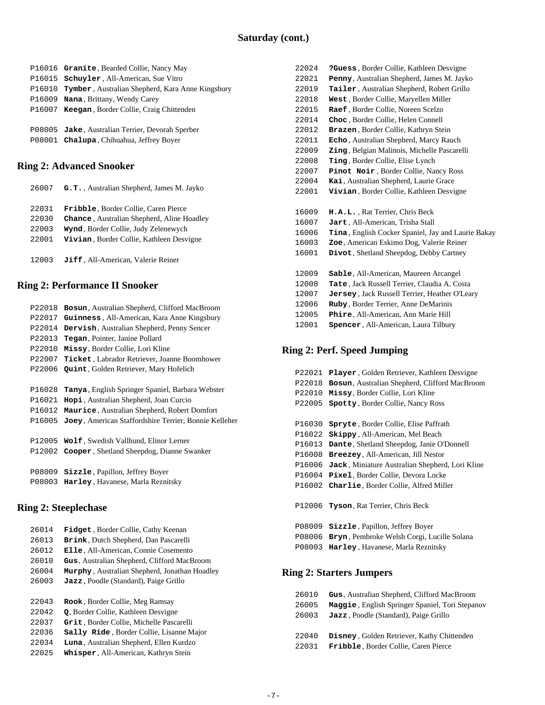|  | P16016 Granite, Bearded Collie, Nancy May               |
|--|---------------------------------------------------------|
|  | P16015 <b>Schuyler</b> , All-American, Sue Vitro        |
|  | P16010 Tymber, Australian Shepherd, Kara Anne Kingsbury |
|  | P16009 Nana, Brittany, Wendy Carey                      |
|  | P16007 Keegan, Border Collie, Craig Chittenden          |
|  |                                                         |
|  | P08005 Jake, Australian Terrier, Devorah Sperber        |
|  | P08001 Chalupa, Chihuahua, Jeffrey Boyer                |
|  |                                                         |

#### **Ring 2: Advanced Snooker**

| 26007 | <b>G.T.</b> , Australian Shepherd, James M. Jayko  |
|-------|----------------------------------------------------|
| 22031 | <b>Fribble, Border Collie, Caren Pierce</b>        |
| 22030 | <b>Chance</b> , Australian Shepherd, Aline Hoadley |
| 22003 | Wynd, Border Collie, Judy Zelenewych               |
| 22001 | Vivian, Border Collie, Kathleen Desvigne           |
|       |                                                    |
| 12003 | Jiff, All-American, Valerie Reiner                 |

#### **Ring 2: Performance II Snooker**

| P22018 | Bosun, Australian Shepherd, Clifford MacBroom         |
|--------|-------------------------------------------------------|
| P22017 | Guinness, All-American, Kara Anne Kingsbury           |
| P22014 | Dervish, Australian Shepherd, Penny Sencer            |
| P22013 | Tegan, Pointer, Janine Pollard                        |
| P22010 | Missy, Border Collie, Lori Kline                      |
| P22007 | Ticket, Labrador Retriever, Joanne Boomhower          |
| P22006 | <b>Quint, Golden Retriever, Mary Hofelich</b>         |
|        |                                                       |
| P16028 | Tanya, English Springer Spaniel, Barbara Webster      |
| P16021 | Hopi, Australian Shepherd, Joan Curcio                |
| P16012 | <b>Maurice</b> , Australian Shepherd, Robert Domfort  |
| P16005 | Joey, American Staffordshire Terrier, Bonnie Kelleher |
|        |                                                       |
| P12005 | Wolf, Swedish Vallhund, Elinor Lerner                 |
| P12002 | Cooper, Shetland Sheepdog, Dianne Swanker             |
|        |                                                       |
| P08009 | Sizzle, Papillon, Jeffrey Boyer                       |
| P08003 | Harley, Havanese, Marla Reznitsky                     |
|        |                                                       |
|        |                                                       |

#### **Ring 2: Steeplechase**

| 26014 | <b>Fidget, Border Collie, Cathy Keenan</b>    |
|-------|-----------------------------------------------|
| 26013 | Brink, Dutch Shepherd, Dan Pascarelli         |
| 26012 | <b>Elle</b> , All-American, Connie Cosemento  |
| 26010 | Gus, Australian Shepherd, Clifford MacBroom   |
| 26004 | Murphy, Australian Shepherd, Jonathan Hoadley |
| 26003 | <b>Jazz</b> , Poodle (Standard), Paige Grillo |
|       |                                               |
| 22043 | <b>Rook</b> , Border Collie, Meg Ramsay       |
| 22042 | Q, Border Collie, Kathleen Desvigne           |
| 22037 | Grit, Border Collie, Michelle Pascarelli      |
| 22036 | Sally Ride, Border Collie, Lisanne Major      |
| 22034 | Luna, Australian Shepherd, Ellen Kurdzo       |
| 22025 | Whisper, All-American, Kathryn Stein          |

**Tailer** , Australian Shepherd, Robert Grillo **West** , Border Collie, Maryellen Miller **Raef** , Border Collie, Noreen Scelzo **Choc** , Border Collie, Helen Connell **Brazen** , Border Collie, Kathryn Stein **Echo** , Australian Shepherd, Marcy Rauch **Zing** , Belgian Malinois, Michelle Pascarelli **Ting** , Border Collie, Elise Lynch **Pinot Noir** , Border Collie, Nancy Ross **Kai**, Australian Shepherd, Laurie Grace **Vivian** , Border Collie, Kathleen Desvigne **H.A.L.** , Rat Terrier, Chris Beck **Jart** , All-American, Trisha Stall **Tina** , English Cocker Spaniel, Jay and Laurie Bakay **Zoe**, American Eskimo Dog, Valerie Reiner **Divot**, Shetland Sheepdog, Debby Cartney **Sable**, All-American, Maureen Arcangel **Tate** , Jack Russell Terrier, Claudia A. Costa **Jersey** , Jack Russell Terrier, Heather O'Leary

 22024 **?Guess** , Border Collie, Kathleen Desvigne 22021 **Penny**, Australian Shepherd, James M. Jayko

- 12006 **Ruby** , Border Terrier, Anne DeMarinis 12005 **Phire**, All-American, Ann Marie Hill
- 12001 **Spencer**, All-American, Laura Tilbury

#### **Ring 2: Perf. Speed Jumping**

| P22021 | Player, Golden Retriever, Kathleen Desvigne        |  |
|--------|----------------------------------------------------|--|
| P22018 | Bosun, Australian Shepherd, Clifford MacBroom      |  |
| P22010 | Missy, Border Collie, Lori Kline                   |  |
| P22005 | Spotty, Border Collie, Nancy Ross                  |  |
|        |                                                    |  |
| P16030 | <b>Spryte, Border Collie, Elise Paffrath</b>       |  |
| P16022 | Skippy, All-American, Mel Beach                    |  |
| P16013 | Dante, Shetland Sheepdog, Janie O'Donnell          |  |
| P16008 | Breezey, All-American, Jill Nestor                 |  |
| P16006 | Jack, Miniature Australian Shepherd, Lori Kline    |  |
| P16004 | Pixel, Border Collie, Devora Locke                 |  |
| P16002 | Charlie, Border Collie, Alfred Miller              |  |
|        |                                                    |  |
| P12006 | Tyson, Rat Terrier, Chris Beck                     |  |
|        |                                                    |  |
| P08009 | Sizzle, Papillon, Jeffrey Boyer                    |  |
| P08006 | <b>Bryn</b> , Pembroke Welsh Corgi, Lucille Solana |  |
| P08003 | Harley, Havanese, Marla Reznitsky                  |  |
|        |                                                    |  |
|        |                                                    |  |
|        | <b>Ring 2: Starters Jumpers</b>                    |  |

## 26010 **Gus**, Australian Shepherd, Clifford MacBroom 26005 **Maggie** , English Springer Spaniel, Tori Stepanov 26003 **Jazz** , Poodle (Standard), Paige Grillo 22040 **Disney** , Golden Retriever, Kathy Chittenden 22031 **Fribble**, Border Collie, Caren Pierce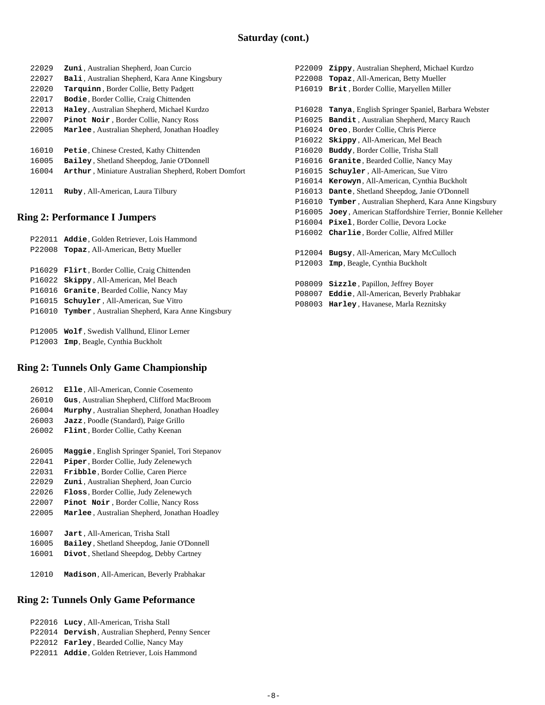| 22029 | Zuni, Australian Shepherd, Joan Curcio                 |
|-------|--------------------------------------------------------|
| 22027 | <b>Bali</b> , Australian Shepherd, Kara Anne Kingsbury |
| 22020 | Tarquinn, Border Collie, Betty Padgett                 |
| 22017 | <b>Bodie, Border Collie, Craig Chittenden</b>          |
| 22013 | Haley, Australian Shepherd, Michael Kurdzo             |
| 22007 | <b>Pinot Noir, Border Collie, Nancy Ross</b>           |
| 22005 | Marlee, Australian Shepherd, Jonathan Hoadley          |
| 16010 | <b>Petie, Chinese Crested, Kathy Chittenden</b>        |
| 16005 | Bailey, Shetland Sheepdog, Janie O'Donnell             |
| 16004 | Arthur, Miniature Australian Shepherd, Robert Domfort  |
|       |                                                        |
| 12011 | Ruby, All-American, Laura Tilbury                      |

# **Ring 2: Performance I Jumpers**

|  | P22011 Addie, Golden Retriever, Lois Hammond            |
|--|---------------------------------------------------------|
|  | P22008 <b>Topaz</b> , All-American, Betty Mueller       |
|  |                                                         |
|  | P16029 <b>Flirt</b> , Border Collie, Craig Chittenden   |
|  | P16022 Skippy, All-American, Mel Beach                  |
|  | P16016 Granite, Bearded Collie, Nancy May               |
|  | P16015 <b>Schuyler</b> , All-American, Sue Vitro        |
|  | P16010 Tymber, Australian Shepherd, Kara Anne Kingsbury |
|  |                                                         |
|  | P12005 Wolf, Swedish Vallhund, Elinor Lerner            |
|  | P12003 <b>Imp</b> , Beagle, Cynthia Buckholt            |

#### **Ring 2: Tunnels Only Game Championship**

| 26012 | Elle, All-American, Connie Cosemento            |
|-------|-------------------------------------------------|
| 26010 | Gus, Australian Shepherd, Clifford MacBroom     |
| 26004 | Murphy, Australian Shepherd, Jonathan Hoadley   |
| 26003 | Jazz, Poodle (Standard), Paige Grillo           |
| 26002 | <b>Flint</b> , Border Collie, Cathy Keenan      |
|       |                                                 |
| 26005 | Maggie, English Springer Spaniel, Tori Stepanov |
| 22041 | Piper, Border Collie, Judy Zelenewych           |
| 22031 | <b>Fribble, Border Collie, Caren Pierce</b>     |
| 22029 | <b>Zuni</b> , Australian Shepherd, Joan Curcio  |
| 22026 | Floss, Border Collie, Judy Zelenewych           |
| 22007 | Pinot Noir, Border Collie, Nancy Ross           |
| 22005 | Marlee, Australian Shepherd, Jonathan Hoadley   |
|       |                                                 |
| 16007 | Jart, All-American, Trisha Stall                |
| 16005 | Bailey, Shetland Sheepdog, Janie O'Donnell      |
|       |                                                 |

- 16001 **Divot**, Shetland Sheepdog, Debby Cartney
- 12010 **Madison**, All-American, Beverly Prabhakar

### **Ring 2: Tunnels Only Game Peformance**

 P22016 **Lucy** , All-American, Trisha Stall P22014 **Dervish**, Australian Shepherd, Penny Sencer P22012 **Farley** , Bearded Collie, Nancy May P22011 **Addie**, Golden Retriever, Lois Hammond

| P22009 | Zippy, Australian Shepherd, Michael Kurdzo               |
|--------|----------------------------------------------------------|
| P22008 | Topaz, All-American, Betty Mueller                       |
| P16019 | Brit, Border Collie, Maryellen Miller                    |
|        |                                                          |
| P16028 | <b>Tanya</b> , English Springer Spaniel, Barbara Webster |
| P16025 | Bandit, Australian Shepherd, Marcy Rauch                 |
| P16024 | Oreo, Border Collie, Chris Pierce                        |
| P16022 | Skippy, All-American, Mel Beach                          |
| P16020 | Buddy, Border Collie, Trisha Stall                       |
| P16016 | Granite, Bearded Collie, Nancy May                       |
| P16015 | <b>Schuyler</b> , All-American, Sue Vitro                |
| P16014 | Kerowyn, All-American, Cynthia Buckholt                  |
| P16013 | Dante, Shetland Sheepdog, Janie O'Donnell                |
| P16010 | Tymber, Australian Shepherd, Kara Anne Kingsbury         |
| P16005 | Joey, American Staffordshire Terrier, Bonnie Kelleher    |
| P16004 | Pixel, Border Collie, Devora Locke                       |
| P16002 | Charlie, Border Collie, Alfred Miller                    |
|        |                                                          |
| P12004 | Bugsy, All-American, Mary McCulloch                      |
| P12003 | <b>Imp</b> , Beagle, Cynthia Buckholt                    |
|        |                                                          |
| P08009 | Sizzle, Papillon, Jeffrey Boyer                          |
| P08007 | Eddie, All-American, Beverly Prabhakar                   |
| P08003 | Harley, Havanese, Marla Reznitsky                        |
|        |                                                          |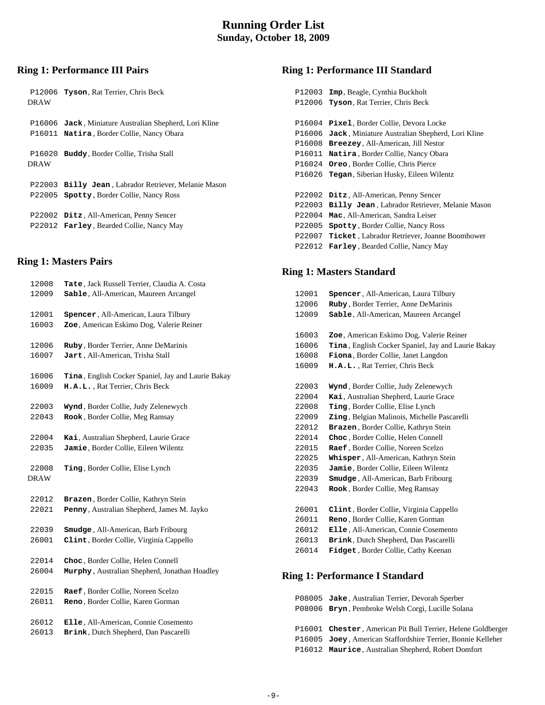### **Running Order List Sunday, October 18, 2009**

# **Ring 1: Performance III Pairs**

| P12006 Tyson, Rat Terrier, Chris Beck                                                               |
|-----------------------------------------------------------------------------------------------------|
| P16006 Jack, Miniature Australian Shepherd, Lori Kline<br>P16011 Natira, Border Collie, Nancy Obara |
| <b>Buddy</b> , Border Collie, Trisha Stall<br>P16020                                                |
| P22003 Billy Jean, Labrador Retriever, Melanie Mason                                                |
| P22005 Spotty, Border Collie, Nancy Ross                                                            |
| P22002 Ditz, All-American, Penny Sencer                                                             |
| P22012 <b>Farley</b> , Bearded Collie, Nancy May                                                    |
|                                                                                                     |

## **Ring 1: Masters Pairs**

| 12008<br>12009       | Tate, Jack Russell Terrier, Claudia A. Costa<br>Sable, All-American, Maureen Arcangel    |
|----------------------|------------------------------------------------------------------------------------------|
| 12001<br>16003       | <b>Spencer</b> , All-American, Laura Tilbury<br>Zoe, American Eskimo Dog, Valerie Reiner |
| 12006                | Ruby, Border Terrier, Anne DeMarinis                                                     |
| 16007                | Jart, All-American, Trisha Stall                                                         |
| 16006<br>16009       | Tina, English Cocker Spaniel, Jay and Laurie Bakay<br>H.A.L., Rat Terrier, Chris Beck    |
| 22003<br>22043       | Wynd, Border Collie, Judy Zelenewych<br>Rook, Border Collie, Meg Ramsay                  |
| 22004                | Kai, Australian Shepherd, Laurie Grace                                                   |
| 22035                | Jamie, Border Collie, Eileen Wilentz                                                     |
| 22008<br><b>DRAW</b> | Ting, Border Collie, Elise Lynch                                                         |
| 22012                | Brazen, Border Collie, Kathryn Stein                                                     |
| 22021                | Penny, Australian Shepherd, James M. Jayko                                               |
| 22039<br>26001       | <b>Smudge</b> , All-American, Barb Fribourg<br>Clint, Border Collie, Virginia Cappello   |
| 22014                | Choc, Border Collie, Helen Connell                                                       |
| 26004                | Murphy, Australian Shepherd, Jonathan Hoadley                                            |
| 22015<br>26011       | Raef, Border Collie, Noreen Scelzo<br>Reno, Border Collie, Karen Gorman                  |
| 26012<br>26013       | Elle, All-American, Connie Cosemento<br>Brink, Dutch Shepherd, Dan Pascarelli            |
|                      |                                                                                          |

# **Ring 1: Performance III Standard**

| Jack, Miniature Australian Shepherd, Lori Kline |
|-------------------------------------------------|
|                                                 |
|                                                 |
|                                                 |
|                                                 |
|                                                 |
|                                                 |
| Billy Jean, Labrador Retriever, Melanie Mason   |
|                                                 |
|                                                 |
| Ticket, Labrador Retriever, Joanne Boomhower    |
|                                                 |
|                                                 |

# **Ring 1: Masters Standard**

| 12001 | <b>Spencer</b> , All-American, Laura Tilbury        |
|-------|-----------------------------------------------------|
| 12006 | Ruby, Border Terrier, Anne DeMarinis                |
| 12009 | Sable, All-American, Maureen Arcangel               |
| 16003 | Zoe, American Eskimo Dog, Valerie Reiner            |
| 16006 | Tina, English Cocker Spaniel, Jay and Laurie Bakay  |
| 16008 | Fiona, Border Collie, Janet Langdon                 |
| 16009 | H.A.L., Rat Terrier, Chris Beck                     |
| 22003 | Wynd, Border Collie, Judy Zelenewych                |
| 22004 | Kai, Australian Shepherd, Laurie Grace              |
| 22008 | Ting, Border Collie, Elise Lynch                    |
| 22009 | <b>Zing</b> , Belgian Malinois, Michelle Pascarelli |
| 22012 | Brazen, Border Collie, Kathryn Stein                |
| 22014 | Choc, Border Collie, Helen Connell                  |
| 22015 | Raef, Border Collie, Noreen Scelzo                  |
| 22025 | Whisper, All-American, Kathryn Stein                |
| 22035 | Jamie, Border Collie, Eileen Wilentz                |
| 22039 | Smudge, All-American, Barb Fribourg                 |
| 22043 | Rook, Border Collie, Meg Ramsay                     |
| 26001 | Clint, Border Collie, Virginia Cappello             |
| 26011 | Reno, Border Collie, Karen Gorman                   |
| 26012 | Elle, All-American, Connie Cosemento                |
| 26013 | Brink, Dutch Shepherd, Dan Pascarelli               |
| 26014 | Fidget, Border Collie, Cathy Keenan                 |
|       | <b>Ring 1: Performance I Standard</b>               |
|       | P08005 Jake, Australian Terrier, Devorah Sperber    |
|       |                                                     |

|  | P08006 Bryn, Pembroke Welsh Corgi, Lucille Solana            |
|--|--------------------------------------------------------------|
|  | P16001 Chester, American Pit Bull Terrier, Helene Goldberger |
|  | P16005 Joey, American Staffordshire Terrier, Bonnie Kelleher |
|  | P16012 Maurice, Australian Shepherd, Robert Domfort          |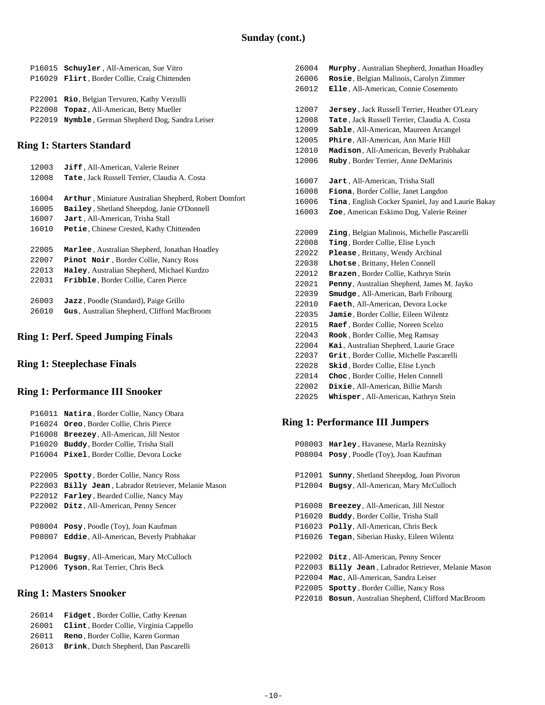|  | P16015 <b>Schuyler</b> , All-American, Sue Vitro<br>P16029 Flirt, Border Collie, Craig Chittenden |
|--|---------------------------------------------------------------------------------------------------|
|  | P22001 Rio, Belgian Tervuren, Kathy Verzulli                                                      |
|  | P22008 Topaz, All-American, Betty Mueller                                                         |
|  | P22019 Nymble, German Shepherd Dog, Sandra Leiser                                                 |
|  |                                                                                                   |

## **Ring 1: Starters Standard**

| 12003 | Jiff, All-American, Valerie Reiner                    |
|-------|-------------------------------------------------------|
| 12008 | <b>Tate</b> , Jack Russell Terrier, Claudia A. Costa  |
|       |                                                       |
| 16004 | Arthur, Miniature Australian Shepherd, Robert Domfort |
| 16005 | <b>Bailey, Shetland Sheepdog, Janie O'Donnell</b>     |
| 16007 | Jart, All-American, Trisha Stall                      |
| 16010 | Petie. Chinese Crested, Kathy Chittenden              |
|       |                                                       |
| 22005 | Marlee, Australian Shepherd, Jonathan Hoadley         |
| 22007 | Pinot Noir, Border Collie, Nancy Ross                 |
| 22013 | Haley, Australian Shepherd, Michael Kurdzo            |
| 22031 | <b>Fribble, Border Collie, Caren Pierce</b>           |
|       |                                                       |
| 26003 | Jazz, Poodle (Standard), Paige Grillo                 |
| 26010 | <b>Gus</b> , Australian Shepherd, Clifford MacBroom   |
|       |                                                       |

# **Ring 1: Perf. Speed Jumping Finals**

# **Ring 1: Steeplechase Finals**

## **Ring 1: Performance III Snooker**

| P16011 | Natira, Border Collie, Nancy Obara             |
|--------|------------------------------------------------|
| P16024 | Oreo, Border Collie, Chris Pierce              |
| P16008 | Breezey, All-American, Jill Nestor             |
| P16020 | Buddy, Border Collie, Trisha Stall             |
| P16004 | <b>Pixel</b> , Border Collie, Devora Locke     |
|        |                                                |
| P22005 | <b>Spotty, Border Collie, Nancy Ross</b>       |
| P22003 | Billy Jean, Labrador Retriever, Melanie Mason  |
| P22012 | <b>Farley, Bearded Collie, Nancy May</b>       |
| P22002 | Ditz, All-American, Penny Sencer               |
|        |                                                |
| P08004 | Posy, Poodle (Toy), Joan Kaufman               |
| P08007 | <b>Eddie</b> , All-American, Beverly Prabhakar |
|        |                                                |
| P12004 | Bugsy, All-American, Mary McCulloch            |
| P12006 | <b>Tyson, Rat Terrier, Chris Beck</b>          |
|        |                                                |

### **Ring 1: Masters Snooker**

| 26014 | Fidget, Border Collie, Cathy Keenan     |
|-------|-----------------------------------------|
| 26001 | Clint. Border Collie, Virginia Cappello |
| 26011 | Reno, Border Collie, Karen Gorman       |
| 26013 | Brink, Dutch Shepherd, Dan Pascarelli   |

| 26004 | Murphy, Australian Shepherd, Jonathan Hoadley      |
|-------|----------------------------------------------------|
| 26006 | Rosie, Belgian Malinois, Carolyn Zimmer            |
| 26012 | Elle, All-American, Connie Cosemento               |
|       |                                                    |
| 12007 | Jersey, Jack Russell Terrier, Heather O'Leary      |
| 12008 | Tate, Jack Russell Terrier, Claudia A. Costa       |
| 12009 | Sable, All-American, Maureen Arcangel              |
| 12005 | Phire, All-American, Ann Marie Hill                |
| 12010 | Madison, All-American, Beverly Prabhakar           |
| 12006 | Ruby, Border Terrier, Anne DeMarinis               |
|       |                                                    |
| 16007 | Jart, All-American, Trisha Stall                   |
| 16008 | Fiona, Border Collie, Janet Langdon                |
| 16006 | Tina, English Cocker Spaniel, Jay and Laurie Bakay |
| 16003 | Zoe, American Eskimo Dog, Valerie Reiner           |
|       |                                                    |
| 22009 | Zing, Belgian Malinois, Michelle Pascarelli        |
| 22008 | Ting, Border Collie, Elise Lynch                   |
| 22022 | Please, Brittany, Wendy Archinal                   |
| 22038 | Lhotse, Brittany, Helen Connell                    |
| 22012 | Brazen, Border Collie, Kathryn Stein               |
| 22021 | Penny, Australian Shepherd, James M. Jayko         |
| 22039 | Smudge, All-American, Barb Fribourg                |
| 22010 | Faeth, All-American, Devora Locke                  |
| 22035 | Jamie, Border Collie, Eileen Wilentz               |
| 22015 | Raef, Border Collie, Noreen Scelzo                 |
| 22043 | Rook, Border Collie, Meg Ramsay                    |
| 22004 | Kai, Australian Shepherd, Laurie Grace             |
| 22037 | Grit, Border Collie, Michelle Pascarelli           |
| 22028 | Skid, Border Collie, Elise Lynch                   |
| 22014 | Choc, Border Collie, Helen Connell                 |
| 22002 | Dixie, All-American, Billie Marsh                  |
| 22025 | Whisper, All-American, Kathryn Stein               |

## **Ring 1: Performance III Jumpers**

| P08003 | <b>Harley, Havanese, Marla Reznitsky</b>             |
|--------|------------------------------------------------------|
| P08004 | Posy, Poodle (Toy), Joan Kaufman                     |
|        |                                                      |
| P12001 | <b>Sunny, Shetland Sheepdog, Joan Pivorun</b>        |
| P12004 | Bugsy, All-American, Mary McCulloch                  |
|        |                                                      |
| P16008 | <b>Breezey, All-American, Jill Nestor</b>            |
| P16020 | <b>Buddy</b> , Border Collie, Trisha Stall           |
| P16023 | <b>Polly, All-American, Chris Beck</b>               |
| P16026 | <b>Tegan, Siberian Husky, Eileen Wilentz</b>         |
|        |                                                      |
| P22002 | Ditz, All-American, Penny Sencer                     |
| P22003 | <b>Billy Jean, Labrador Retriever, Melanie Mason</b> |
| P22004 | Mac, All-American, Sandra Leiser                     |
| P22005 | <b>Spotty, Border Collie, Nancy Ross</b>             |
| P22018 | Bosun, Australian Shepherd, Clifford MacBroom        |
|        |                                                      |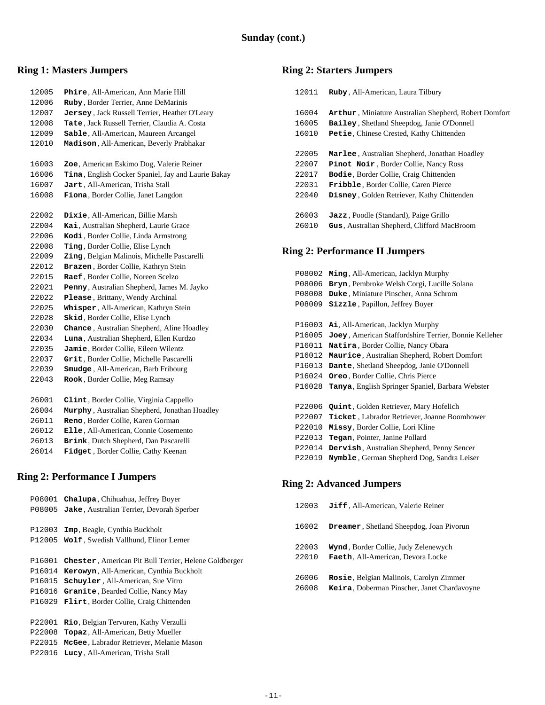# **Ring 1: Masters Jumpers**

| 12005 | Phire, All-American, Ann Marie Hill                |
|-------|----------------------------------------------------|
| 12006 | Ruby, Border Terrier, Anne DeMarinis               |
| 12007 | Jersey, Jack Russell Terrier, Heather O'Leary      |
| 12008 | Tate, Jack Russell Terrier, Claudia A. Costa       |
| 12009 | Sable, All-American, Maureen Arcangel              |
| 12010 | Madison, All-American, Beverly Prabhakar           |
|       |                                                    |
| 16003 | Zoe, American Eskimo Dog, Valerie Reiner           |
| 16006 | Tina, English Cocker Spaniel, Jay and Laurie Bakay |
| 16007 | Jart, All-American, Trisha Stall                   |
| 16008 | Fiona, Border Collie, Janet Langdon                |
|       |                                                    |
| 22002 | Dixie, All-American, Billie Marsh                  |
| 22004 | Kai, Australian Shepherd, Laurie Grace             |
| 22006 | Kodi, Border Collie, Linda Armstrong               |
| 22008 | Ting, Border Collie, Elise Lynch                   |
| 22009 | zing, Belgian Malinois, Michelle Pascarelli        |
| 22012 | Brazen, Border Collie, Kathryn Stein               |
| 22015 | Raef, Border Collie, Noreen Scelzo                 |
| 22021 | Penny, Australian Shepherd, James M. Jayko         |
| 22022 | Please, Brittany, Wendy Archinal                   |
| 22025 | Whisper, All-American, Kathryn Stein               |
| 22028 | Skid, Border Collie, Elise Lynch                   |
| 22030 | Chance, Australian Shepherd, Aline Hoadley         |
| 22034 | Luna, Australian Shepherd, Ellen Kurdzo            |
| 22035 | Jamie, Border Collie, Eileen Wilentz               |
| 22037 | Grit, Border Collie, Michelle Pascarelli           |
| 22039 | Smudge, All-American, Barb Fribourg                |
| 22043 | Rook, Border Collie, Meg Ramsay                    |
|       |                                                    |
| 26001 | Clint, Border Collie, Virginia Cappello            |
| 26004 | Murphy, Australian Shepherd, Jonathan Hoadley      |
| 26011 | Reno, Border Collie, Karen Gorman                  |
| 26012 | Elle, All-American, Connie Cosemento               |
| 26013 | Brink, Dutch Shepherd, Dan Pascarelli              |
| 26014 | Fidget, Border Collie, Cathy Keenan                |
|       |                                                    |

# **Ring 2: Performance I Jumpers**

| P08001 | Chalupa, Chihuahua, Jeffrey Boyer                     |
|--------|-------------------------------------------------------|
| P08005 | Jake, Australian Terrier, Devorah Sperber             |
| P12003 | <b>Imp</b> , Beagle, Cynthia Buckholt                 |
|        | P12005 Wolf, Swedish Vallhund, Elinor Lerner          |
| P16001 | Chester, American Pit Bull Terrier, Helene Goldberger |
| P16014 | Kerowyn, All-American, Cynthia Buckholt               |
| P16015 | <b>Schuyler</b> , All-American, Sue Vitro             |
| P16016 | Granite, Bearded Collie, Nancy May                    |
| P16029 | <b>Flirt, Border Collie, Craig Chittenden</b>         |
|        |                                                       |
| P22001 | Rio, Belgian Tervuren, Kathy Verzulli                 |
| P22008 | Topaz, All-American, Betty Mueller                    |
| P22015 | McGee, Labrador Retriever, Melanie Mason              |
| P22016 | Lucy, All-American, Trisha Stall                      |
|        |                                                       |

# **Ring 2: Starters Jumpers**

| Ruby, All-American, Laura Tilbury                                                                   |
|-----------------------------------------------------------------------------------------------------|
| Arthur, Miniature Australian Shepherd, Robert Domfort<br>Bailey, Shetland Sheepdog, Janie O'Donnell |
| Petie, Chinese Crested, Kathy Chittenden                                                            |
| <b>Marlee</b> , Australian Shepherd, Jonathan Hoadley                                               |
| Pinot Noir, Border Collie, Nancy Ross                                                               |
| <b>Bodie, Border Collie, Craig Chittenden</b>                                                       |
| <b>Fribble.</b> Border Collie. Caren Pierce                                                         |
| Disney, Golden Retriever, Kathy Chittenden                                                          |
| <b>Jazz</b> , Poodle (Standard), Paige Grillo                                                       |
|                                                                                                     |
| Gus, Australian Shepherd, Clifford MacBroom                                                         |
|                                                                                                     |

# **Ring 2: Performance II Jumpers**

| P08002 | Ming, All-American, Jacklyn Murphy                       |
|--------|----------------------------------------------------------|
| P08006 | Bryn, Pembroke Welsh Corgi, Lucille Solana               |
| P08008 | Duke, Miniature Pinscher, Anna Schrom                    |
| P08009 | Sizzle, Papillon, Jeffrey Boyer                          |
|        |                                                          |
| P16003 | Ai, All-American, Jacklyn Murphy                         |
| P16005 | Joey, American Staffordshire Terrier, Bonnie Kelleher    |
| P16011 | Natira, Border Collie, Nancy Obara                       |
| P16012 | Maurice, Australian Shepherd, Robert Domfort             |
| P16013 | Dante, Shetland Sheepdog, Janie O'Donnell                |
| P16024 | <b>Oreo</b> , Border Collie, Chris Pierce                |
| P16028 | <b>Tanya</b> , English Springer Spaniel, Barbara Webster |
|        |                                                          |
| P22006 | <b>Quint</b> , Golden Retriever, Mary Hofelich           |
| P22007 | <b>Ticket</b> , Labrador Retriever, Joanne Boomhower     |
| P22010 | Missy, Border Collie, Lori Kline                         |
| P22013 | <b>Tegan, Pointer, Janine Pollard</b>                    |
| P22014 | Dervish, Australian Shepherd, Penny Sencer               |
| P22019 | Nymble, German Shepherd Dog, Sandra Leiser               |
|        |                                                          |

# **Ring 2: Advanced Jumpers**

| 12003          | Jiff, All-American, Valerie Reiner                                        |
|----------------|---------------------------------------------------------------------------|
| 16002          | <b>Dreamer, Shetland Sheepdog, Joan Pivorun</b>                           |
| 22003<br>22010 | Wynd, Border Collie, Judy Zelenewych<br>Faeth, All-American, Devora Locke |
| 26006          | Rosie, Belgian Malinois, Carolyn Zimmer                                   |
| 26008          | Keira, Doberman Pinscher, Janet Chardavoyne                               |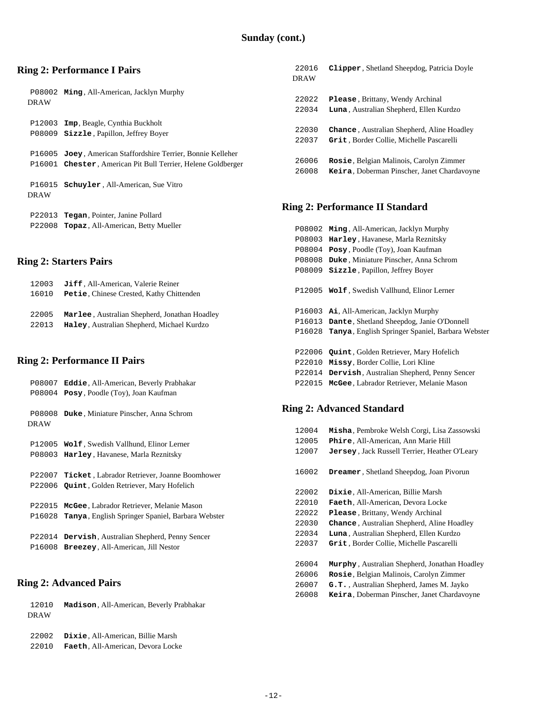# **Ring 2: Performance I Pairs**

|             | P08002 Ming, All-American, Jacklyn Murphy                    |
|-------------|--------------------------------------------------------------|
| <b>DRAW</b> |                                                              |
|             |                                                              |
|             | P12003 <b>Imp</b> , Beagle, Cynthia Buckholt                 |
|             |                                                              |
|             | P08009 <b>Sizzle</b> , Papillon, Jeffrey Boyer               |
|             |                                                              |
|             | P16005 Joey, American Staffordshire Terrier, Bonnie Kelleher |
|             | P16001 Chester, American Pit Bull Terrier, Helene Goldberger |
|             |                                                              |
|             | P16015 <b>Schuyler</b> All-American. Sue Vitro               |
|             |                                                              |
| <b>DRAW</b> |                                                              |
|             |                                                              |
|             | P22013 <b>Tegan</b> , Pointer, Janine Pollard                |
|             | P22008 <b>Topaz</b> , All-American, Betty Mueller            |
|             |                                                              |

# **Ring 2: Starters Pairs**

| 12003 | Jiff, All-American, Valerie Reiner            |
|-------|-----------------------------------------------|
| 16010 | Petie, Chinese Crested, Kathy Chittenden      |
|       |                                               |
| 22005 | Marlee, Australian Shepherd, Jonathan Hoadley |
| 22013 | Haley, Australian Shepherd, Michael Kurdzo    |

## **Ring 2: Performance II Pairs**

| P08007                | <b>Eddie</b> , All-American, Beverly Prabhakar                                                       |
|-----------------------|------------------------------------------------------------------------------------------------------|
| P08004                | Posy, Poodle (Toy), Joan Kaufman                                                                     |
| P08008<br><b>DRAW</b> | <b>Duke</b> , Miniature Pinscher, Anna Schrom                                                        |
| P12005                | Wolf, Swedish Vallhund, Elinor Lerner<br>P08003 Harley, Havanese, Marla Reznitsky                    |
|                       | P22007 Ticket, Labrador Retriever, Joanne Boomhower<br>P22006 Quint, Golden Retriever, Mary Hofelich |
| P22015                | McGee, Labrador Retriever, Melanie Mason                                                             |
| P16028                | <b>Tanya</b> , English Springer Spaniel, Barbara Webster                                             |
| P22014                | <b>Dervish, Australian Shepherd, Penny Sencer</b>                                                    |
| P16008                | <b>Breezey, All-American, Jill Nestor</b>                                                            |

## **Ring 2: Advanced Pairs**

| 12010<br>DRAW | Madison, All-American, Beverly Prabhakar |
|---------------|------------------------------------------|
| 22002         | Dixie. All-American. Billie Marsh        |
| 22010         | Faeth. All-American. Devora Locke        |

| 22016       | Clipper, Shetland Sheepdog, Patricia Doyle      |
|-------------|-------------------------------------------------|
| <b>DRAW</b> |                                                 |
|             |                                                 |
| 22022       | <b>Please, Brittany, Wendy Archinal</b>         |
| 22034       | <b>Luna</b> , Australian Shepherd, Ellen Kurdzo |
|             |                                                 |
| 22030       | Chance, Australian Shepherd, Aline Hoadley      |
| 22037       | Grit, Border Collie, Michelle Pascarelli        |
|             |                                                 |
| 26006       | Rosie, Belgian Malinois, Carolyn Zimmer         |
| 26008       | Keira, Doberman Pinscher, Janet Chardavoyne     |
|             |                                                 |

# **Ring 2: Performance II Standard**

| P08002 | Ming, All-American, Jacklyn Murphy                       |
|--------|----------------------------------------------------------|
| P08003 | Harley, Havanese, Marla Reznitsky                        |
| P08004 | Posy, Poodle (Toy), Joan Kaufman                         |
| P08008 | Duke, Miniature Pinscher, Anna Schrom                    |
| P08009 | Sizzle, Papillon, Jeffrey Boyer                          |
|        |                                                          |
|        | P12005 Wolf, Swedish Vallhund, Elinor Lerner             |
|        |                                                          |
| P16003 | Ai, All-American, Jacklyn Murphy                         |
| P16013 | Dante, Shetland Sheepdog, Janie O'Donnell                |
| P16028 | <b>Tanya</b> , English Springer Spaniel, Barbara Webster |
|        |                                                          |
| P22006 | <b>Quint, Golden Retriever, Mary Hofelich</b>            |
| P22010 | Missy, Border Collie, Lori Kline                         |
| P22014 | Dervish, Australian Shepherd, Penny Sencer               |
| P22015 | McGee, Labrador Retriever, Melanie Mason                 |

# **Ring 2: Advanced Standard**

| 12004<br>12005<br>12007 | Misha, Pembroke Welsh Corgi, Lisa Zassowski<br>Phire, All-American, Ann Marie Hill<br><b>Jersey, Jack Russell Terrier, Heather O'Leary</b> |
|-------------------------|--------------------------------------------------------------------------------------------------------------------------------------------|
| 16002                   | <b>Dreamer, Shetland Sheepdog, Joan Pivorun</b>                                                                                            |
| 22002                   | Dixie, All-American, Billie Marsh                                                                                                          |
| 22010                   | Faeth, All-American, Devora Locke                                                                                                          |
| 22022                   | Please, Brittany, Wendy Archinal                                                                                                           |
| 22030                   | <b>Chance</b> , Australian Shepherd, Aline Hoadley                                                                                         |
| 22034                   | <b>Luna</b> , Australian Shepherd, Ellen Kurdzo                                                                                            |
| 22037                   | Grit, Border Collie, Michelle Pascarelli                                                                                                   |
| 26004                   | <b>Murphy</b> , Australian Shepherd, Jonathan Hoadley                                                                                      |
| 26006                   | Rosie, Belgian Malinois, Carolyn Zimmer                                                                                                    |
| 26007                   | G.T., Australian Shepherd, James M. Jayko                                                                                                  |
| 26008                   | Keira, Doberman Pinscher, Janet Chardavoyne                                                                                                |
|                         |                                                                                                                                            |